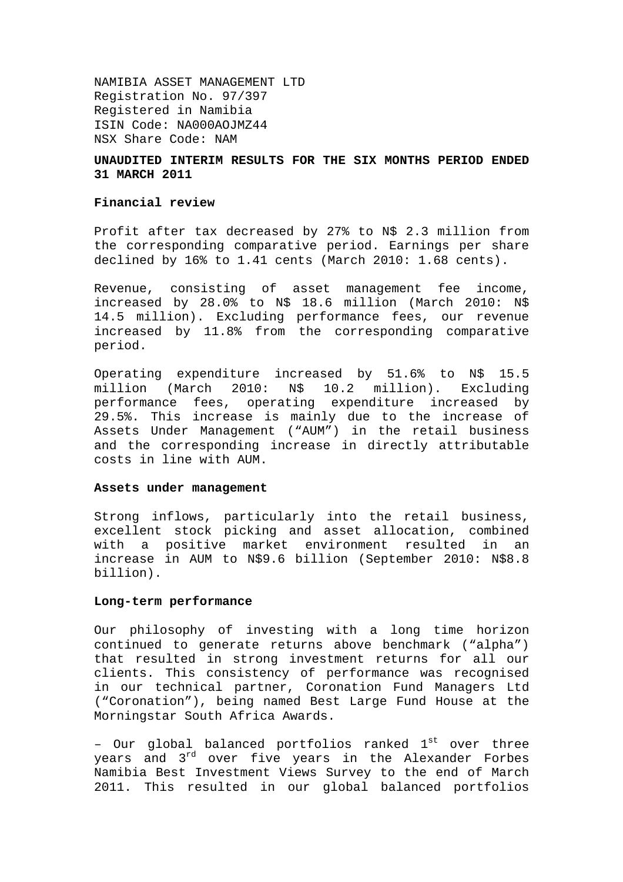NAMIBIA ASSET MANAGEMENT LTD Registration No. 97/397 Registered in Namibia ISIN Code: NA000AOJMZ44 NSX Share Code: NAM

## **UNAUDITED INTERIM RESULTS FOR THE SIX MONTHS PERIOD ENDED 31 MARCH 2011**

#### **Financial review**

Profit after tax decreased by 27% to N\$ 2.3 million from the corresponding comparative period. Earnings per share declined by 16% to 1.41 cents (March 2010: 1.68 cents).

Revenue, consisting of asset management fee income, increased by 28.0% to N\$ 18.6 million (March 2010: N\$ 14.5 million). Excluding performance fees, our revenue increased by 11.8% from the corresponding comparative period.

Operating expenditure increased by 51.6% to N\$ 15.5 million (March 2010: N\$ 10.2 million). Excluding performance fees, operating expenditure increased by 29.5%. This increase is mainly due to the increase of Assets Under Management ("AUM") in the retail business and the corresponding increase in directly attributable costs in line with AUM.

#### **Assets under management**

Strong inflows, particularly into the retail business, excellent stock picking and asset allocation, combined with a positive market environment resulted in an increase in AUM to N\$9.6 billion (September 2010: N\$8.8 billion).

#### **Long-term performance**

Our philosophy of investing with a long time horizon continued to generate returns above benchmark ("alpha") that resulted in strong investment returns for all our clients. This consistency of performance was recognised in our technical partner, Coronation Fund Managers Ltd ("Coronation"), being named Best Large Fund House at the Morningstar South Africa Awards.

- Our global balanced portfolios ranked  $1^{st}$  over three years and 3<sup>rd</sup> over five years in the Alexander Forbes Namibia Best Investment Views Survey to the end of March 2011. This resulted in our global balanced portfolios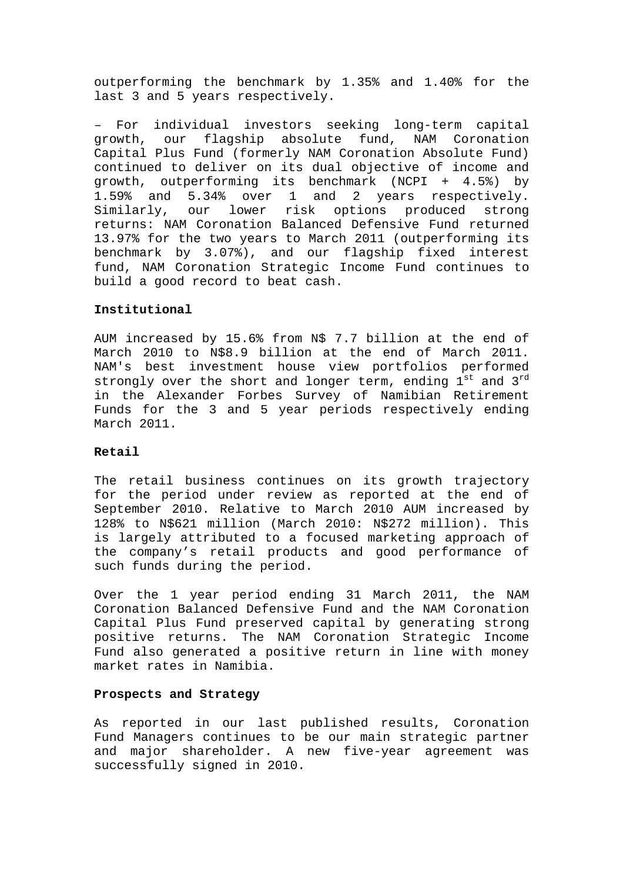outperforming the benchmark by 1.35% and 1.40% for the last 3 and 5 years respectively.

For individual investors seeking long-term capital growth, our flagship absolute fund, NAM Coronation Capital Plus Fund (formerly NAM Coronation Absolute Fund) continued to deliver on its dual objective of income and growth, outperforming its benchmark (NCPI + 4.5%) by 1.59% and 5.34% over 1 and 2 years respectively. Similarly, our lower risk options produced strong returns: NAM Coronation Balanced Defensive Fund returned 13.97% for the two years to March 2011 (outperforming its benchmark by 3.07%), and our flagship fixed interest fund, NAM Coronation Strategic Income Fund continues to build a good record to beat cash.

## **Institutional**

AUM increased by 15.6% from N\$ 7.7 billion at the end of March 2010 to N\$8.9 billion at the end of March 2011. NAM's best investment house view portfolios performed strongly over the short and longer term, ending  $1<sup>st</sup>$  and  $3<sup>rd</sup>$ in the Alexander Forbes Survey of Namibian Retirement Funds for the 3 and 5 year periods respectively ending March 2011.

#### **Retail**

The retail business continues on its growth trajectory for the period under review as reported at the end of September 2010. Relative to March 2010 AUM increased by 128% to N\$621 million (March 2010: N\$272 million). This is largely attributed to a focused marketing approach of the company's retail products and good performance of such funds during the period.

Over the 1 year period ending 31 March 2011, the NAM Coronation Balanced Defensive Fund and the NAM Coronation Capital Plus Fund preserved capital by generating strong positive returns. The NAM Coronation Strategic Income Fund also generated a positive return in line with money market rates in Namibia.

## **Prospects and Strategy**

As reported in our last published results, Coronation Fund Managers continues to be our main strategic partner and major shareholder. A new five-year agreement was successfully signed in 2010.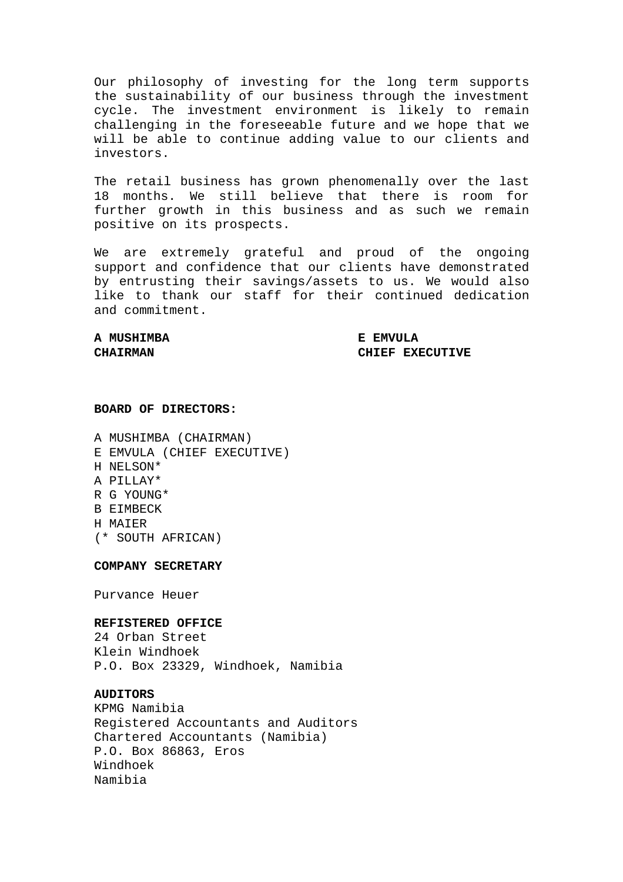Our philosophy of investing for the long term supports the sustainability of our business through the investment cycle. The investment environment is likely to remain challenging in the foreseeable future and we hope that we will be able to continue adding value to our clients and investors.

The retail business has grown phenomenally over the last 18 months. We still believe that there is room for further growth in this business and as such we remain positive on its prospects.

We are extremely grateful and proud of the ongoing support and confidence that our clients have demonstrated by entrusting their savings/assets to us. We would also like to thank our staff for their continued dedication and commitment.

# **A MUSHIMBA E EMVULA**

**CHAIRMAN CHIEF EXECUTIVE** 

## **BOARD OF DIRECTORS:**

A MUSHIMBA (CHAIRMAN) E EMVULA (CHIEF EXECUTIVE) H NELSON\* A PILLAY\* R G YOUNG\* B EIMBECK H MAIER (\* SOUTH AFRICAN)

**COMPANY SECRETARY** 

Purvance Heuer

#### **REFISTERED OFFICE**

24 Orban Street Klein Windhoek P.O. Box 23329, Windhoek, Namibia

## **AUDITORS**

KPMG Namibia Registered Accountants and Auditors Chartered Accountants (Namibia) P.O. Box 86863, Eros Windhoek Namibia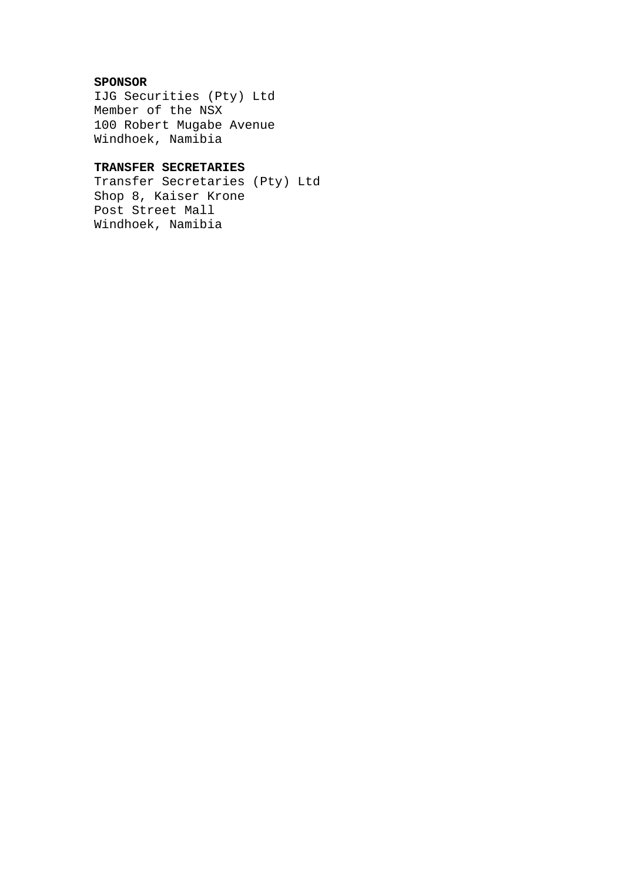# **SPONSOR**

IJG Securities (Pty) Ltd Member of the NSX 100 Robert Mugabe Avenue Windhoek, Namibia

# **TRANSFER SECRETARIES**

Transfer Secretaries (Pty) Ltd Shop 8, Kaiser Krone Post Street Mall Windhoek, Namibia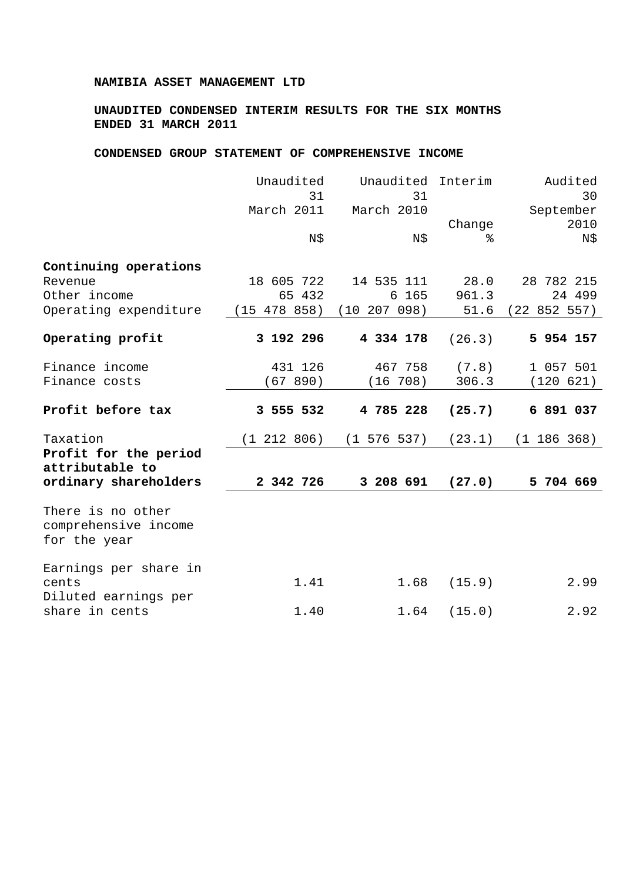## **NAMIBIA ASSET MANAGEMENT LTD**

# **UNAUDITED CONDENSED INTERIM RESULTS FOR THE SIX MONTHS ENDED 31 MARCH 2011**

## **CONDENSED GROUP STATEMENT OF COMPREHENSIVE INCOME**

|                                                           | Unaudited<br>31 | Unaudited Interim<br>31       |        | Audited<br>30     |
|-----------------------------------------------------------|-----------------|-------------------------------|--------|-------------------|
|                                                           | March 2011      | March 2010                    | Change | September<br>2010 |
|                                                           | N\$             | N\$                           | ⊱      | N\$               |
| Continuing operations                                     |                 |                               |        |                   |
| Revenue                                                   | 18 605 722      | 14 535 111                    | 28.0   | 28 782 215        |
| Other income                                              | 65 432          | 6 165                         | 961.3  | 24 499            |
| Operating expenditure                                     |                 | $(15 478 858)$ $(10 207 098)$ | 51.6   | (22 852 557)      |
| Operating profit                                          | 3 192 296       | 4 334 178                     | (26.3) | 5 954 157         |
| Finance income                                            | 431 126         | 467 758                       | (7.8)  | 1 057 501         |
| Finance costs                                             | (67890)         | (16 708)                      | 306.3  | (120 621)         |
| Profit before tax                                         | 3 555 532       | 4 785 228                     | (25.7) | 6 891 037         |
| Taxation                                                  | (1 212 806)     | $(1\ 576\ 537)$               | (23.1) | (1 186 368)       |
| Profit for the period<br>attributable to                  |                 |                               |        |                   |
| ordinary shareholders                                     | 2 342 726       | 3 208 691                     | (27.0) | 5 704 669         |
| There is no other<br>comprehensive income<br>for the year |                 |                               |        |                   |
| Earnings per share in<br>cents                            | 1.41            | 1.68                          | (15.9) | 2.99              |
| Diluted earnings per<br>share in cents                    | 1.40            | 1.64                          | (15.0) | 2.92              |
|                                                           |                 |                               |        |                   |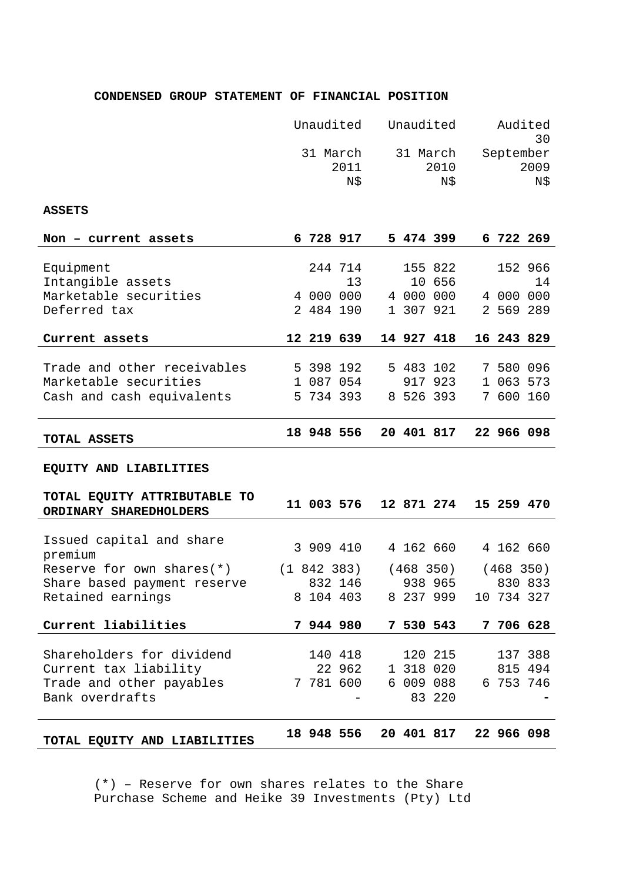# **CONDENSED GROUP STATEMENT OF FINANCIAL POSITION**

|                                                        | Unaudited |           | Unaudited               |                         | Audited<br>30 |                          |            |            |
|--------------------------------------------------------|-----------|-----------|-------------------------|-------------------------|---------------|--------------------------|------------|------------|
|                                                        |           |           | 31 March<br>2011<br>N\$ | 31 March<br>2010<br>N\$ |               | September<br>2009<br>N\$ |            |            |
| <b>ASSETS</b>                                          |           |           |                         |                         |               |                          |            |            |
| Non - current assets                                   |           | 6 728 917 |                         |                         |               | 5 474 399                | 6 722 269  |            |
| Equipment                                              |           |           | 244 714                 |                         |               | 155 822                  |            | 152 966    |
| Intangible assets                                      |           |           | 13                      |                         |               | 10 656                   |            | 14         |
| Marketable securities                                  |           |           | 4 000 000               |                         |               | 4 000 000                | 4 000 000  |            |
| Deferred tax                                           |           | 2 484 190 |                         |                         |               | 1 307 921                | 2 569 289  |            |
| Current assets                                         |           |           | 12 219 639              |                         |               | 14 927 418               | 16 243 829 |            |
|                                                        |           |           |                         |                         |               |                          |            |            |
| Trade and other receivables                            |           | 5 398 192 |                         |                         |               | 5 483 102                | 7 580 096  |            |
| Marketable securities                                  |           |           | 1 087 054               |                         |               | 917 923                  | 1 063 573  |            |
| Cash and cash equivalents                              |           | 5 734 393 |                         |                         |               | 8 526 393                | 7 600 160  |            |
| TOTAL ASSETS                                           |           |           | 18 948 556              |                         |               | 20 401 817               |            | 22 966 098 |
| EQUITY AND LIABILITIES                                 |           |           |                         |                         |               |                          |            |            |
| TOTAL EQUITY ATTRIBUTABLE TO<br>ORDINARY SHAREDHOLDERS |           |           | 11 003 576              |                         |               | 12 871 274               | 15 259 470 |            |
|                                                        |           |           |                         |                         |               |                          |            |            |
| Issued capital and share<br>premium                    |           | 3 909 410 |                         |                         |               | 4 162 660                | 4 162 660  |            |
| Reserve for own shares $(*)$                           |           | (1842383) |                         |                         | (468 350)     |                          | (468 350)  |            |
| Share based payment reserve                            |           |           | 832 146 938 965 830 833 |                         |               |                          |            |            |
| Retained earnings                                      |           |           | 8 104 403               |                         |               | 8 237 999                | 10 734 327 |            |
| Current liabilities                                    |           | 7 944 980 |                         |                         |               | 7 530 543                |            | 7 706 628  |
|                                                        |           |           |                         |                         |               |                          |            |            |
| Shareholders for dividend                              |           |           | 140 418                 |                         |               | 120 215                  |            | 137 388    |
| Current tax liability                                  |           |           | 22 962                  |                         |               | 1 318 020                |            | 815 494    |
| Trade and other payables                               |           |           | 7 781 600               |                         |               | 6 009 088                |            | 6 753 746  |
| Bank overdrafts                                        |           |           |                         |                         |               | 83 220                   |            |            |
| TOTAL EQUITY AND LIABILITIES                           |           |           | 18 948 556              |                         |               | 20 401 817               |            | 22 966 098 |

(\*) – Reserve for own shares relates to the Share Purchase Scheme and Heike 39 Investments (Pty) Ltd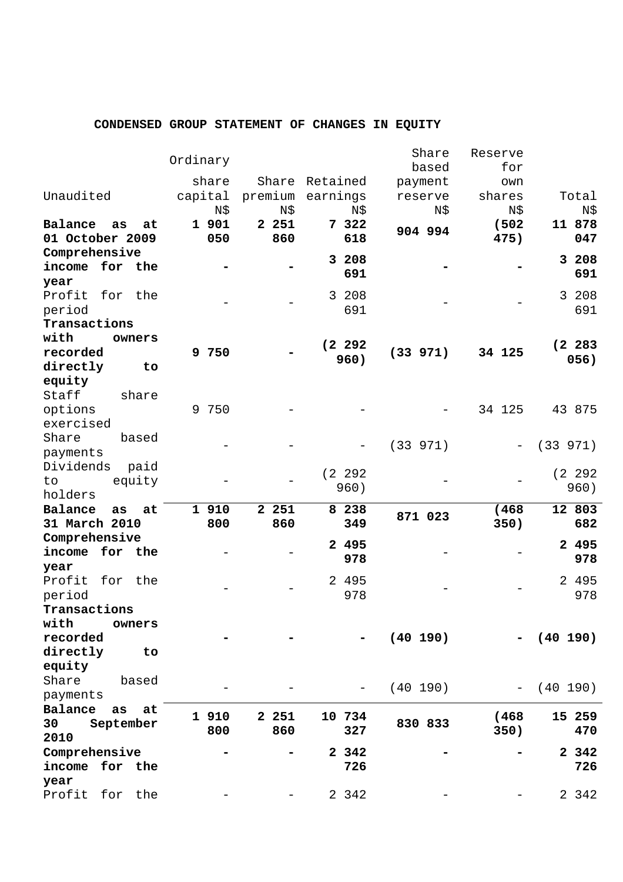# **CONDENSED GROUP STATEMENT OF CHANGES IN EQUITY**

|                                 | Ordinary |         |                  | Share<br>based | Reserve<br>for |             |
|---------------------------------|----------|---------|------------------|----------------|----------------|-------------|
|                                 | share    |         | Share Retained   |                |                |             |
| Unaudited                       |          |         | premium earnings | payment        | own            | Total       |
|                                 | capital  |         |                  | reserve        | shares         |             |
|                                 | N\$      | N\$     | N\$              | N\$            | N\$            | N\$         |
| Balance<br>as<br>at             | 1 901    | 2 2 5 1 | 7 322            | 904 994        | (502)          | 11 878      |
| 01 October 2009                 | 050      | 860     | 618              |                | 475)           | 047         |
| Comprehensive                   |          |         | 3 208            |                |                | 3 208       |
| income<br>for the               |          |         | 691              |                |                | 691         |
| year                            |          |         |                  |                |                |             |
| Profit for the                  |          |         | 3 208            |                |                | 3 208       |
| period                          |          |         | 691              |                |                | 691         |
| Transactions                    |          |         |                  |                |                |             |
| with<br>owners                  |          |         | (2 292)          |                |                | (2 283)     |
| recorded                        | 9 750    |         | 960)             | (33 971)       | 34 125         | 056)        |
| directly<br>to                  |          |         |                  |                |                |             |
| equity                          |          |         |                  |                |                |             |
| Staff<br>share                  |          |         |                  |                |                |             |
| options                         | 9 750    |         |                  |                | 34 125         | 43 875      |
| exercised                       |          |         |                  |                |                |             |
| Share<br>based                  |          |         |                  | (33 971)       |                | (33 971)    |
| payments                        |          |         |                  |                |                |             |
| Dividends<br>paid               |          |         | (2 292)          |                |                | (2 292)     |
| equity<br>to                    |          |         | 960)             |                |                | 960)        |
| holders                         |          |         |                  |                |                |             |
| Balance<br>as<br>at             | 1 910    | 2 2 5 1 | 8 2 3 8          | 871 023        | (468)          | 12 803      |
| 31 March 2010                   | 800      | 860     | 349              |                | 350)           | 682         |
| Comprehensive                   |          |         | 2 495            |                |                | 2 495       |
| for the<br>income               |          |         | 978              |                |                | 978         |
| year                            |          |         |                  |                |                |             |
| Profit<br>for the               |          |         | 2 495            |                |                | 2 495       |
| period                          |          |         | 978              |                |                | 978         |
| Transactions                    |          |         |                  |                |                |             |
| with<br>owners                  |          |         |                  |                |                |             |
| recorded                        |          |         |                  | (40 190)       |                | $(40\ 190)$ |
| directly<br>to                  |          |         |                  |                |                |             |
| equity                          |          |         |                  |                |                |             |
| Share<br>based                  |          |         |                  | (40 190)       |                | (40 190)    |
| payments                        |          |         |                  |                |                |             |
| Balance<br>at<br>as             | 1 910    | 2 2 5 1 | 10 734           |                | (468)          | 15 259      |
| 30<br>September                 | 800      | 860     | 327              | 830 833        | 350)           | 470         |
| 2010                            |          |         |                  |                |                | 2 342       |
| Comprehensive<br>income for the |          |         | 2 342<br>726     |                |                | 726         |
|                                 |          |         |                  |                |                |             |
| year<br>Profit<br>for<br>the    |          |         | 2 342            |                |                | 2 3 4 2     |
|                                 |          |         |                  |                |                |             |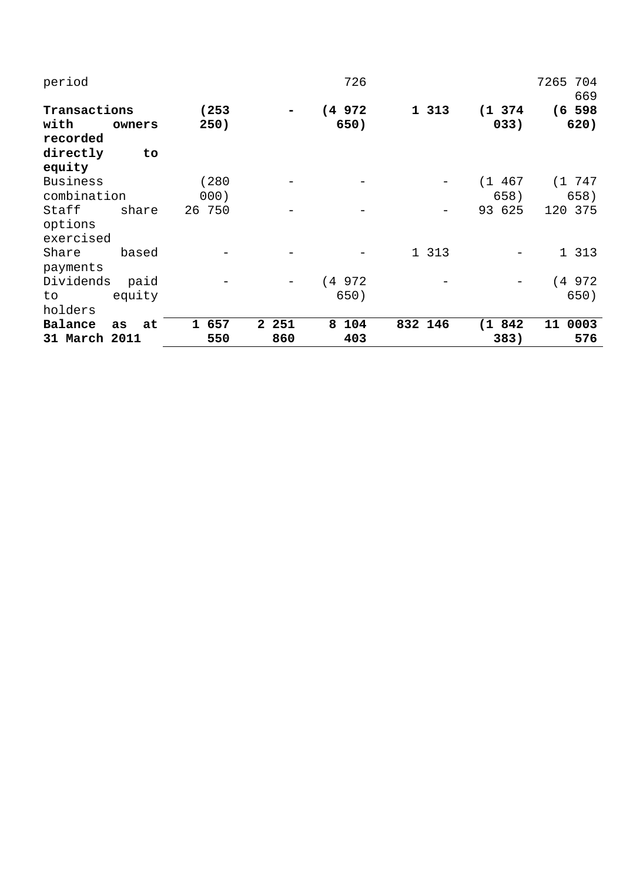| period           |          |           |                     | 726      |         |          | 7265 704<br>669 |
|------------------|----------|-----------|---------------------|----------|---------|----------|-----------------|
| Transactions     |          | (253)     |                     | (4972)   | 1 313   | (1, 374) | $(6\ 598)$      |
| with<br>recorded | owners   | 250)      |                     | 650)     |         | 033)     | 620)            |
| directly         | to       |           |                     |          |         |          |                 |
| equity           |          |           |                     |          |         |          |                 |
| <b>Business</b>  |          | (280)     |                     |          |         | (1 467)  | (1747)          |
| combination      |          | 000)      |                     |          |         | 658)     | 658)            |
| Staff            | share    | 26 750    |                     |          |         | 93 625   | 120 375         |
| options          |          |           |                     |          |         |          |                 |
| exercised        |          |           |                     |          |         |          |                 |
| Share            | based    |           |                     |          | 1 313   |          | 1 313           |
| payments         |          |           |                     |          |         |          |                 |
| Dividends        | paid     |           |                     | (4 972   |         |          | (4972)          |
| to.              | equity   |           |                     | 650)     |         |          | 650)            |
| holders          |          |           |                     |          |         |          |                 |
| Balance          | as<br>at | 657<br>1. | 251<br>$\mathbf{2}$ | 8<br>104 | 832 146 | (1 842   | 11<br>0003      |
| 31 March 2011    |          | 550       | 860                 | 403      |         | 383)     | 576             |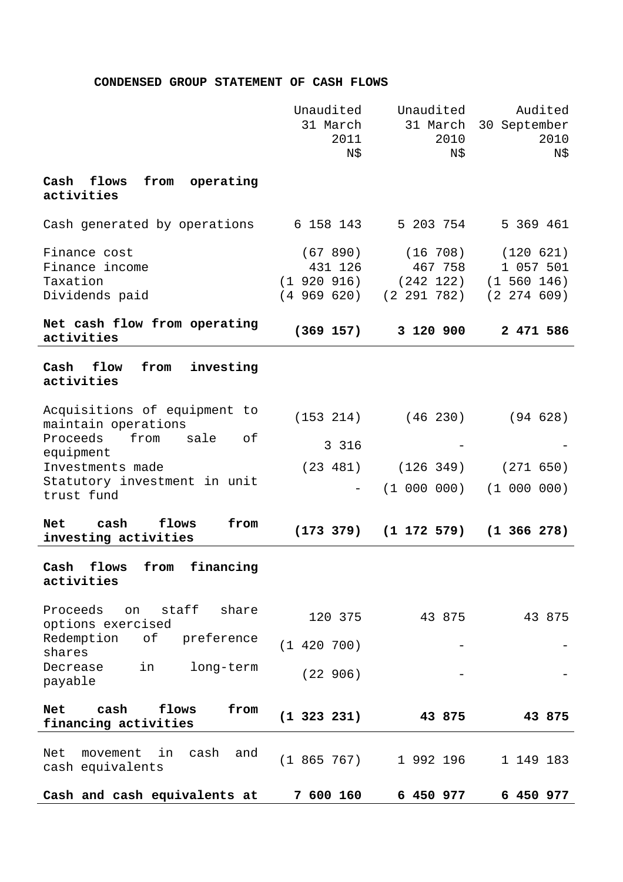# **CONDENSED GROUP STATEMENT OF CASH FLOWS**

|                                                              | Unaudited<br>31 March<br>2011<br>N\$                     | Unaudited<br>31 March<br>2010<br>N\$            | Audited<br>30 September<br>2010<br>N\$                       |
|--------------------------------------------------------------|----------------------------------------------------------|-------------------------------------------------|--------------------------------------------------------------|
| flows<br>operating<br>Cash<br>from<br>activities             |                                                          |                                                 |                                                              |
| Cash generated by operations                                 | 6 158 143                                                | 5 203 754                                       | 5 369 461                                                    |
| Finance cost<br>Finance income<br>Taxation<br>Dividends paid | (67890)<br>431 126<br>$(1\ 920\ 916)$<br>$(4\ 969\ 620)$ | (16 708)<br>467 758<br>(242 122)<br>(2 291 782) | (120 621)<br>1 057 501<br>$(1\ 560\ 146)$<br>$(2\ 274\ 609)$ |
| Net cash flow from operating<br>activities                   | (369 157)                                                | 3 120 900                                       | 2 471 586                                                    |
| from<br>investing<br>flow<br>Cash<br>activities              |                                                          |                                                 |                                                              |
| Acquisitions of equipment to<br>maintain operations          | (153 214)                                                | $(46\ 230)$                                     | (94628)                                                      |
| Proceeds<br>from<br>sale<br>оf<br>equipment                  | 3 3 1 6                                                  |                                                 |                                                              |
| Investments made                                             | (23 481)                                                 | (126 349)                                       | (271 650)                                                    |
| Statutory investment in unit<br>trust fund                   |                                                          | $(1\ 000\ 000)$                                 | (1 000 000)                                                  |
| from<br>cash<br>flows<br>Net<br>investing activities         | (173 379)                                                | (1 172 579)                                     | $(1\;366\;278)$                                              |
| financing<br>Cash<br>flows<br>from<br>activities             |                                                          |                                                 |                                                              |
| staff<br>Proceeds<br>share<br>on<br>options exercised        | 120 375                                                  | 43 875                                          | 43 875                                                       |
| Redemption<br>preference<br>оf<br>shares                     | (1 420 700)                                              |                                                 |                                                              |
| Decrease<br>long-term<br>in<br>payable                       | (22906)                                                  |                                                 |                                                              |
| cash<br>flows<br>from<br><b>Net</b><br>financing activities  | $(1\;323\;231)$                                          | 43 875                                          | 43 875                                                       |
| Net<br>in<br>cash<br>and<br>movement<br>cash equivalents     | (1865767)                                                | 1 992 196                                       | 1 149 183                                                    |
| Cash and cash equivalents at                                 | 7 600 160                                                | 6 450 977                                       | 6 450 977                                                    |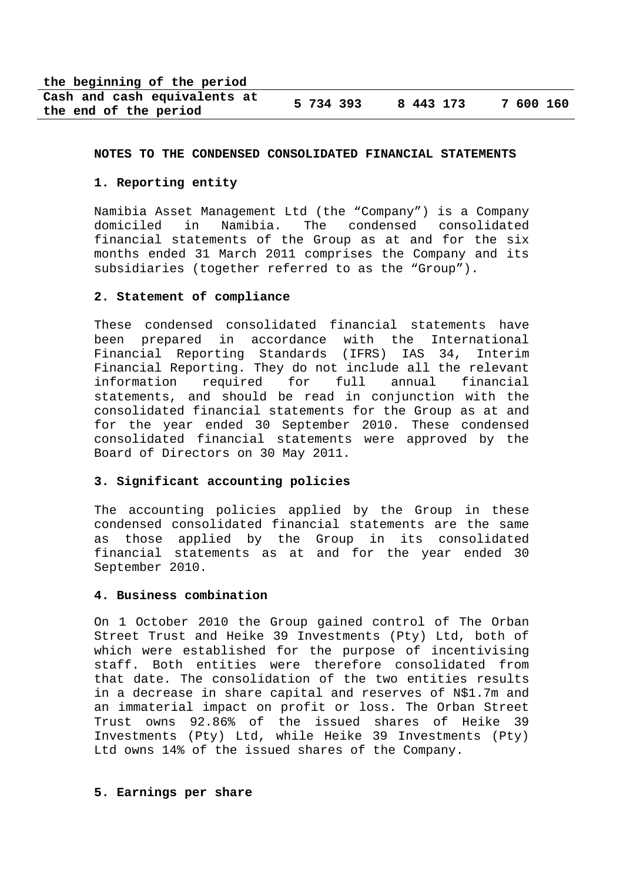**the beginning of the period** 

| Cash and cash equivalents at | 5 734 393 | 8 443 173 | 7 600 160 |
|------------------------------|-----------|-----------|-----------|
| the end of the period        |           |           |           |

#### **NOTES TO THE CONDENSED CONSOLIDATED FINANCIAL STATEMENTS**

#### **1. Reporting entity**

Namibia Asset Management Ltd (the "Company") is a Company domiciled in Namibia. The condensed consolidated financial statements of the Group as at and for the six months ended 31 March 2011 comprises the Company and its subsidiaries (together referred to as the "Group").

#### **2. Statement of compliance**

These condensed consolidated financial statements have been prepared in accordance with the International Financial Reporting Standards (IFRS) IAS 34, Interim Financial Reporting. They do not include all the relevant information required for full annual financial statements, and should be read in conjunction with the consolidated financial statements for the Group as at and for the year ended 30 September 2010. These condensed consolidated financial statements were approved by the Board of Directors on 30 May 2011.

#### **3. Significant accounting policies**

The accounting policies applied by the Group in these condensed consolidated financial statements are the same as those applied by the Group in its consolidated financial statements as at and for the year ended 30 September 2010.

## **4. Business combination**

On 1 October 2010 the Group gained control of The Orban Street Trust and Heike 39 Investments (Pty) Ltd, both of which were established for the purpose of incentivising staff. Both entities were therefore consolidated from that date. The consolidation of the two entities results in a decrease in share capital and reserves of N\$1.7m and an immaterial impact on profit or loss. The Orban Street Trust owns 92.86% of the issued shares of Heike 39 Investments (Pty) Ltd, while Heike 39 Investments (Pty) Ltd owns 14% of the issued shares of the Company.

#### **5. Earnings per share**